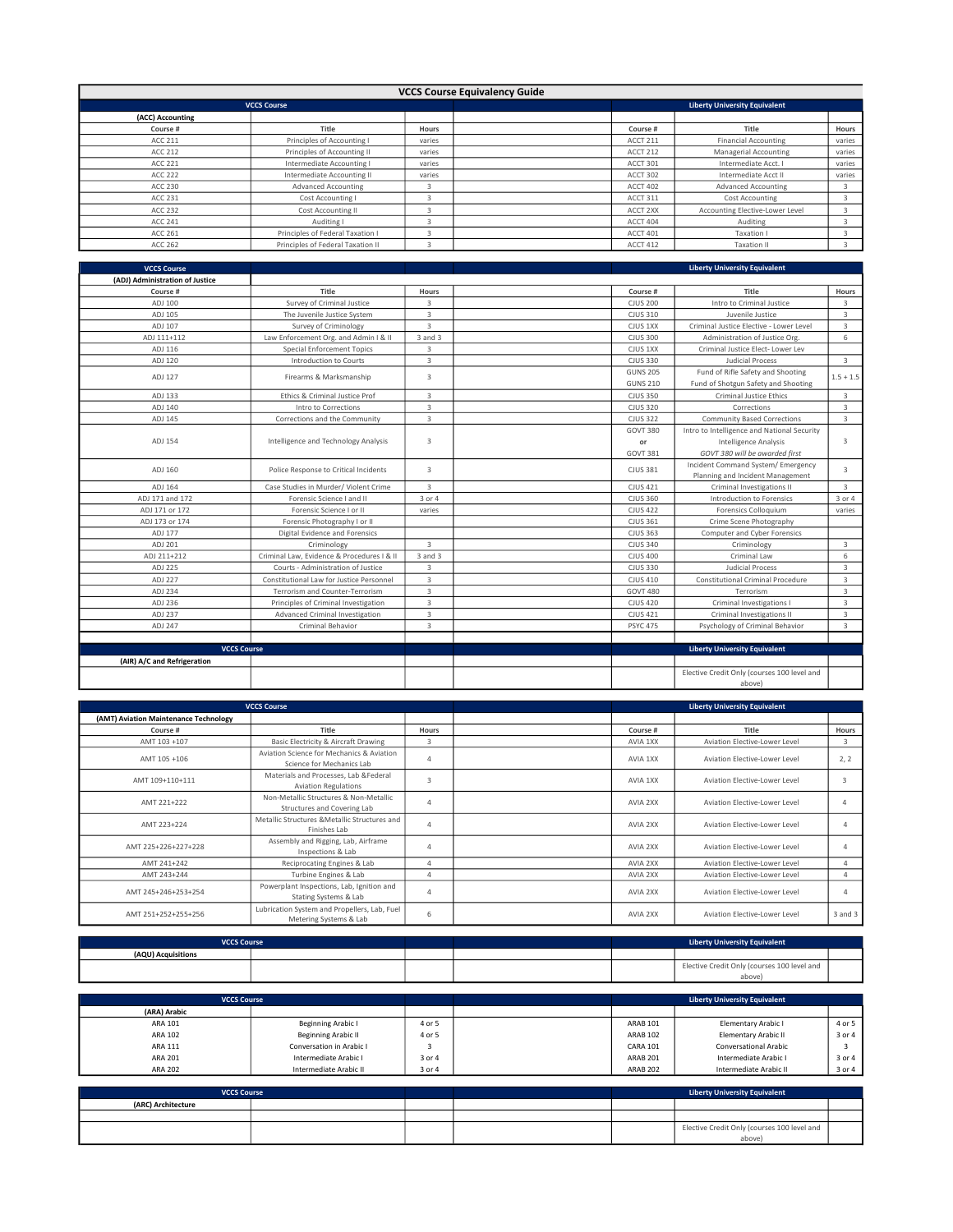|                  | <b>VCCS Course Equivalency Guide</b> |        |  |          |                                      |        |  |  |  |
|------------------|--------------------------------------|--------|--|----------|--------------------------------------|--------|--|--|--|
|                  | <b>VCCS Course</b>                   |        |  |          | <b>Liberty University Equivalent</b> |        |  |  |  |
| (ACC) Accounting |                                      |        |  |          |                                      |        |  |  |  |
| Course #         | Title                                | Hours  |  | Course # | Title                                | Hours  |  |  |  |
| ACC 211          | Principles of Accounting I           | varies |  | ACCT 211 | <b>Financial Accounting</b>          | varies |  |  |  |
| ACC 212          | Principles of Accounting II          | varies |  | ACCT 212 | Managerial Accounting                | varies |  |  |  |
| ACC 221          | Intermediate Accounting I            | varies |  | ACCT 301 | Intermediate Acct.                   | varies |  |  |  |
| ACC 222          | Intermediate Accounting II           | varies |  | ACCT 302 | Intermediate Acct II                 | varies |  |  |  |
| ACC 230          | <b>Advanced Accounting</b>           | з      |  | ACCT 402 | Advanced Accounting                  | -5     |  |  |  |
| ACC 231          | Cost Accounting I                    |        |  | ACCT 311 | Cost Accounting                      |        |  |  |  |
| ACC 232          | Cost Accounting II                   |        |  | ACCT 2XX | Accounting Elective-Lower Level      |        |  |  |  |
| ACC 241          | Auditing I                           |        |  | ACCT 404 | Auditing                             |        |  |  |  |
| ACC 261          | Principles of Federal Taxation I     | 3      |  | ACCT 401 | Taxation I                           |        |  |  |  |
| ACC 262          | Principles of Federal Taxation II    |        |  | ACCT 412 | <b>Taxation II</b>                   |        |  |  |  |

| <b>VCCS Course</b>              |                                            |                         | <b>Liberty University Equivalent</b> |                                                                          |                         |
|---------------------------------|--------------------------------------------|-------------------------|--------------------------------------|--------------------------------------------------------------------------|-------------------------|
| (ADJ) Administration of Justice |                                            |                         |                                      |                                                                          |                         |
| Course #                        | Title                                      | Hours                   | Course #                             | Title                                                                    | Hours                   |
| ADJ 100                         | Survey of Criminal Justice                 | 3                       | <b>CJUS 200</b>                      | Intro to Criminal Justice                                                | $\overline{\mathbf{3}}$ |
| ADJ 105                         | The Juvenile Justice System                | $\overline{3}$          | CJUS 310                             | Juvenile Justice                                                         | $\overline{3}$          |
| ADJ 107                         | Survey of Criminology                      | $\overline{3}$          | CJUS 1XX                             | Criminal Justice Elective - Lower Level                                  | 3                       |
| ADJ 111+112                     | Law Enforcement Org. and Admin I & II      | 3 and 3                 | <b>CJUS 300</b>                      | Administration of Justice Org.                                           | 6                       |
| ADJ 116                         | <b>Special Enforcement Topics</b>          | $\overline{\mathbf{3}}$ | CJUS 1XX                             | Criminal Justice Elect- Lower Lev                                        |                         |
| ADJ 120                         | Introduction to Courts                     | $\overline{3}$          | <b>CJUS 330</b>                      | Judicial Process                                                         | $\overline{3}$          |
| ADJ 127                         | Firearms & Marksmanship                    | 3                       | <b>GUNS 205</b><br><b>GUNS 210</b>   | Fund of Rifle Safety and Shooting<br>Fund of Shotgun Safety and Shooting | $1.5 + 1.5$             |
| ADJ 133                         | Ethics & Criminal Justice Prof             | 3                       | <b>CJUS 350</b>                      | <b>Criminal Justice Ethics</b>                                           | $\overline{3}$          |
| ADJ 140                         | Intro to Corrections                       | 3                       | <b>CJUS 320</b>                      | Corrections                                                              | $\overline{3}$          |
| ADJ 145                         | Corrections and the Community              | $\overline{3}$          | <b>CJUS 322</b>                      | <b>Community Based Corrections</b>                                       | 3                       |
|                                 |                                            |                         | <b>GOVT 380</b>                      | Intro to Intelligence and National Security                              |                         |
| ADJ 154                         | Intelligence and Technology Analysis       | 3                       | or                                   | Intelligence Analysis                                                    | 3                       |
|                                 |                                            |                         | <b>GOVT 381</b>                      | GOVT 380 will be awarded first                                           |                         |
| ADJ 160                         | Police Response to Critical Incidents      | 3                       | <b>CJUS 381</b>                      | Incident Command System/ Emergency<br>Planning and Incident Management   | 3                       |
| ADJ 164                         | Case Studies in Murder/ Violent Crime      | $\overline{3}$          | <b>CJUS 421</b>                      | Criminal Investigations II                                               | 3                       |
| ADJ 171 and 172                 | Forensic Science I and II                  | 3 or 4                  | <b>CJUS 360</b>                      | Introduction to Forensics                                                | 3 or 4                  |
| ADJ 171 or 172                  | Forensic Science I or II                   | varies                  | <b>CJUS 422</b>                      | Forensics Colloquium                                                     | varies                  |
| ADJ 173 or 174                  | Forensic Photography I or II               |                         | <b>CJUS 361</b>                      | Crime Scene Photography                                                  |                         |
| ADJ 177                         | Digital Evidence and Forensics             |                         | <b>CJUS 363</b>                      | Computer and Cyber Forensics                                             |                         |
| ADJ 201                         | Criminology                                | 3                       | <b>CJUS 340</b>                      | Criminology                                                              | 3                       |
| ADJ 211+212                     | Criminal Law, Evidence & Procedures I & II | 3 and 3                 | <b>CJUS 400</b>                      | Criminal Law                                                             | 6                       |
| ADJ 225                         | Courts - Administration of Justice         | $\overline{3}$          | <b>CJUS 330</b>                      | <b>Judicial Process</b>                                                  | $\overline{\mathbf{3}}$ |
| ADJ 227                         | Constitutional Law for Justice Personnel   | 3                       | CJUS 410                             | Constitutional Criminal Procedure                                        | 3                       |
| ADJ 234                         | Terrorism and Counter-Terrorism            | $\overline{3}$          | <b>GOVT 480</b>                      | Terrorism                                                                | 3                       |
| ADJ 236                         | Principles of Criminal Investigation       | $\overline{3}$          | <b>CJUS 420</b>                      | Criminal Investigations I                                                | 3                       |
| ADJ 237                         | Advanced Criminal Investigation            | $\overline{3}$          | <b>CJUS 421</b>                      | Criminal Investigations II                                               | 3                       |
| ADJ 247                         | Criminal Behavior                          | 3                       | <b>PSYC 475</b>                      | Psychology of Criminal Behavior                                          | 3                       |
|                                 |                                            |                         |                                      |                                                                          |                         |
| <b>VCCS Course</b>              |                                            |                         |                                      | <b>Liberty University Equivalent</b>                                     |                         |
| (AIR) A/C and Refrigeration     |                                            |                         |                                      |                                                                          |                         |
|                                 |                                            |                         |                                      | Elective Credit Only (courses 100 level and<br>above)                    |                         |

| <b>VCCS Course</b>                    |                                                                        |                | <b>Liberty University Equivalent</b> |                               |         |  |
|---------------------------------------|------------------------------------------------------------------------|----------------|--------------------------------------|-------------------------------|---------|--|
| (AMT) Aviation Maintenance Technology |                                                                        |                |                                      |                               |         |  |
| Course #                              | Title                                                                  | Hours          | Course #                             | Title                         | Hours   |  |
| AMT 103 +107                          | Basic Electricity & Aircraft Drawing                                   | 3              | AVIA 1XX                             | Aviation Elective-Lower Level | 3       |  |
| AMT 105 +106                          | Aviation Science for Mechanics & Aviation<br>Science for Mechanics Lab | $\overline{4}$ | AVIA 1XX                             | Aviation Elective-Lower Level | 2.2     |  |
| AMT 109+110+111                       | Materials and Processes, Lab &Federal<br><b>Aviation Regulations</b>   | 3              | AVIA 1XX                             | Aviation Elective-Lower Level |         |  |
| AMT 221+222                           | Non-Metallic Structures & Non-Metallic<br>Structures and Covering Lab  | 4              | AVIA 2XX                             | Aviation Elective-Lower Level |         |  |
| AMT 223+224                           | Metallic Structures & Metallic Structures and<br>Finishes Lab          | 4              | AVIA 2XX                             | Aviation Elective-Lower Level |         |  |
| AMT 225+226+227+228                   | Assembly and Rigging, Lab, Airframe<br>Inspections & Lab               | $\overline{a}$ | AVIA 2XX                             | Aviation Elective-Lower Level |         |  |
| AMT 241+242                           | Reciprocating Engines & Lab                                            | Δ              | AVIA 2XX                             | Aviation Elective-Lower Level |         |  |
| AMT 243+244                           | Turbine Engines & Lab                                                  | Δ              | AVIA 2XX                             | Aviation Elective-Lower Level | Δ       |  |
| AMT 245+246+253+254                   | Powerplant Inspections, Lab, Ignition and<br>Stating Systems & Lab     | 4              | AVIA 2XX                             | Aviation Elective-Lower Level |         |  |
| AMT 251+252+255+256                   | Lubrication System and Propellers, Lab, Fuel<br>Metering Systems & Lab | 6              | AVIA 2XX                             | Aviation Elective-Lower Level | 3 and 3 |  |

| <b>VCCS Course</b> |  |  | <b>Liberty University Equivalent</b>        |  |
|--------------------|--|--|---------------------------------------------|--|
| (AQU) Acquisitions |  |  |                                             |  |
|                    |  |  | Elective Credit Only (courses 100 level and |  |
|                    |  |  | above)                                      |  |

| <b>VCCS Course</b> |                           |        | <b>Liberty University Equivalent</b> |                              |        |
|--------------------|---------------------------|--------|--------------------------------------|------------------------------|--------|
| (ARA) Arabic       |                           |        |                                      |                              |        |
| ARA 101            | <b>Beginning Arabic I</b> | 4 or 5 | <b>ARAB 101</b>                      | Elementary Arabic I          | 4 or 5 |
| ARA 102            | Beginning Arabic II       | 4 or 5 | <b>ARAB 102</b>                      | Elementary Arabic II         | 3 or 4 |
| ARA 111            | Conversation in Arabic I  |        | <b>CARA 101</b>                      | <b>Conversational Arabic</b> |        |
| ARA 201            | Intermediate Arabic I     | 3 or 4 | ARAB <sub>201</sub>                  | Intermediate Arabic I        | 3 or 4 |
| <b>ARA 202</b>     | Intermediate Arabic II    | 3 or 4 | ARAB <sub>202</sub>                  | Intermediate Arabic II       | 3 or 4 |

| <b>VCCS Course</b> |  |  | <b>Liberty University Equivalent</b> |                                                       |  |
|--------------------|--|--|--------------------------------------|-------------------------------------------------------|--|
| (ARC) Architecture |  |  |                                      |                                                       |  |
|                    |  |  |                                      |                                                       |  |
|                    |  |  |                                      | Elective Credit Only (courses 100 level and<br>above) |  |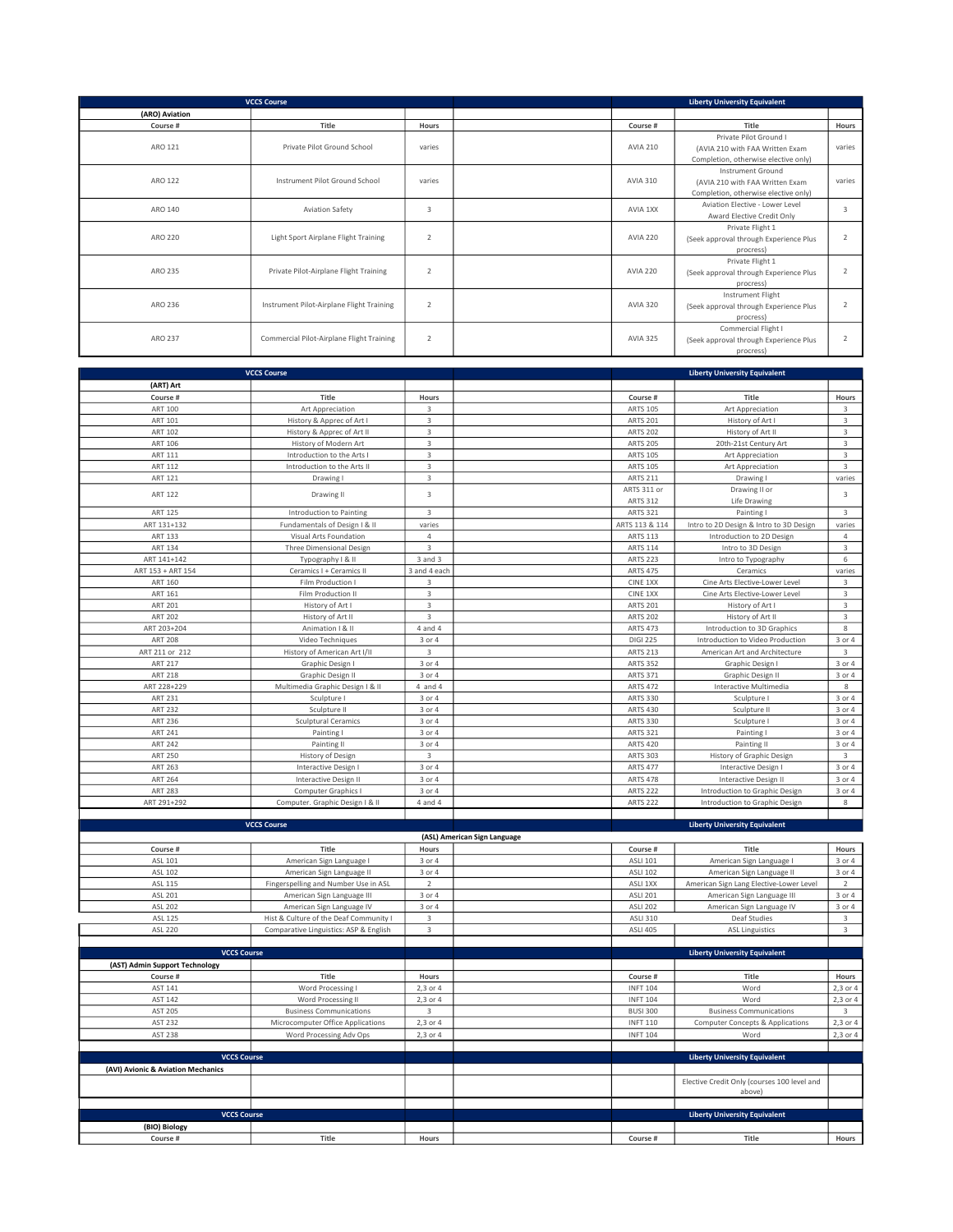| <b>VCCS Course</b> |                                           | <b>Liberty University Equivalent</b> |                                |                                                                                              |                         |
|--------------------|-------------------------------------------|--------------------------------------|--------------------------------|----------------------------------------------------------------------------------------------|-------------------------|
| (ARO) Aviation     |                                           |                                      |                                |                                                                                              |                         |
| Course #           | Title                                     | Hours                                | Course #                       | Title                                                                                        | Hours                   |
| ARO 121            | Private Pilot Ground School               | varies                               | <b>AVIA 210</b>                | Private Pilot Ground I<br>(AVIA 210 with FAA Written Exam                                    | varies                  |
|                    |                                           |                                      |                                | Completion, otherwise elective only)                                                         |                         |
| ARO 122            | Instrument Pilot Ground School            | varies                               | <b>AVIA 310</b>                | Instrument Ground<br>(AVIA 210 with FAA Written Exam<br>Completion, otherwise elective only) | varies                  |
| ARO 140            | <b>Aviation Safety</b>                    | 3                                    | AVIA 1XX                       | Aviation Elective - Lower Level<br>Award Elective Credit Only                                | $\overline{\mathbf{3}}$ |
| ARO 220            | Light Sport Airplane Flight Training      | $\overline{2}$                       | <b>AVIA 220</b>                | Private Flight 1<br>(Seek approval through Experience Plus<br>procress)                      | 2                       |
| ARO 235            | Private Pilot-Airplane Flight Training    | 2                                    | <b>AVIA 220</b>                | Private Flight 1<br>(Seek approval through Experience Plus<br>procress)                      | $\overline{2}$          |
| ARO 236            | Instrument Pilot-Airplane Flight Training | 2                                    | <b>AVIA 320</b>                | Instrument Flight<br>(Seek approval through Experience Plus<br>procress)                     | $\overline{2}$          |
| ARO 237            | Commercial Pilot-Airplane Flight Training | 2                                    | <b>AVIA 325</b>                | Commercial Flight I<br>(Seek approval through Experience Plus<br>procress)                   | $\overline{2}$          |
|                    |                                           |                                      |                                |                                                                                              |                         |
|                    | <b>VCCS Course</b>                        |                                      |                                | <b>Liberty University Equivalent</b>                                                         |                         |
| (ART) Art          |                                           |                                      |                                |                                                                                              |                         |
| Course #           | Title                                     | Hours                                | Course #                       | Title                                                                                        | Hours                   |
| ART 100            | Art Appreciation                          | 3                                    | <b>ARTS 105</b>                | Art Appreciation                                                                             | $\overline{3}$          |
| ART 101            | History & Apprec of Art I                 | $\overline{3}$                       | <b>ARTS 201</b>                | History of Art I                                                                             | $\overline{3}$          |
| <b>ART 102</b>     | History & Apprec of Art II                | $\overline{3}$                       | <b>ARTS 202</b>                | History of Art II                                                                            | $\overline{3}$          |
| ART 106            | History of Modern Art                     | 3                                    | <b>ARTS 205</b>                | 20th-21st Century Art                                                                        | $\overline{\mathbf{3}}$ |
| ART 111            | Introduction to the Arts I                | 3                                    | <b>ARTS 105</b>                | Art Appreciation                                                                             | $\overline{\mathbf{3}}$ |
| <b>ART 112</b>     | Introduction to the Arts II               | $\overline{3}$                       | <b>ARTS 105</b>                | Art Appreciation                                                                             | $\overline{3}$          |
| <b>ART 121</b>     | Drawing I                                 | $\overline{3}$                       | <b>ARTS 211</b>                | Drawing I                                                                                    | varies                  |
| <b>ART 122</b>     | Drawing II                                | 3                                    | ARTS 311 or<br><b>ARTS 312</b> | Drawing II or<br>Life Drawing                                                                | $\overline{\mathbf{3}}$ |
| <b>ART 125</b>     | Introduction to Painting                  | 3                                    | <b>ARTS 321</b>                | Painting I                                                                                   | $\overline{3}$          |
| 107.202            | $-1$ $-1$ $-1$ $-2$ $-1$ $-1$ $-1$        |                                      | 100001110001111                | $\cdots$ $\cdots$ $\cdots$ $\cdots$ $\cdots$ $\cdots$ $\cdots$ $\cdots$                      |                         |

|                   |                                  |                | ANIJ JIZ        | LIJE DI GWILIK                          |                         |
|-------------------|----------------------------------|----------------|-----------------|-----------------------------------------|-------------------------|
| <b>ART 125</b>    | Introduction to Painting         | 3              | <b>ARTS 321</b> | Painting I                              | 3                       |
| ART 131+132       | Fundamentals of Design I & II    | varies         | ARTS 113 & 114  | Intro to 2D Design & Intro to 3D Design | varies                  |
| <b>ART 133</b>    | Visual Arts Foundation           | $\overline{a}$ | <b>ARTS 113</b> | Introduction to 2D Design               | 4                       |
| ART 134           | Three Dimensional Design         | 3              | <b>ARTS 114</b> | Intro to 3D Design                      | 3                       |
| ART 141+142       | Typography   & II                | 3 and 3        | <b>ARTS 223</b> | Intro to Typography                     | 6                       |
| ART 153 + ART 154 | Ceramics I + Ceramics II         | 3 and 4 each   | <b>ARTS 475</b> | Ceramics                                | varies                  |
| ART 160           | Film Production I                | 3              | CINE 1XX        | Cine Arts Elective-Lower Level          | 3                       |
| ART 161           | Film Production II               | 3              | CINE 1XX        | Cine Arts Elective-Lower Level          | 3                       |
| <b>ART 201</b>    | History of Art I                 | 3              | <b>ARTS 201</b> | History of Art I                        | 3                       |
| <b>ART 202</b>    | History of Art II                | $\overline{3}$ | <b>ARTS 202</b> | History of Art II                       | 3                       |
| ART 203+204       | Animation   & II                 | 4 and 4        | <b>ARTS 473</b> | Introduction to 3D Graphics             | 8                       |
| ART 208           | Video Techniques                 | 3 or 4         | <b>DIGI 225</b> | Introduction to Video Production        | 3 or 4                  |
| ART 211 or 212    | History of American Art I/II     | 3              | <b>ARTS 213</b> | American Art and Architecture           | $\overline{\mathbf{3}}$ |
| ART 217           | Graphic Design I                 | 3 or 4         | <b>ARTS 352</b> | Graphic Design I                        | 3 or 4                  |
| <b>ART 218</b>    | Graphic Design II                | 3 or 4         | <b>ARTS 371</b> | Graphic Design II                       | 3 or 4                  |
| ART 228+229       | Multimedia Graphic Design I & II | $4$ and $4$    | <b>ARTS 472</b> | Interactive Multimedia                  | 8                       |
| <b>ART 231</b>    | Sculpture I                      | 3 or 4         | <b>ARTS 330</b> | Sculpture                               | 3 or 4                  |
| <b>ART 232</b>    | Sculpture II                     | 3 or 4         | <b>ARTS 430</b> | Sculpture II                            | 3 or 4                  |
| ART 236           | <b>Sculptural Ceramics</b>       | 3 or 4         | <b>ARTS 330</b> | Sculpture I                             | 3 or 4                  |
| <b>ART 241</b>    | Painting I                       | 3 or 4         | <b>ARTS 321</b> | Painting I                              | 3 or 4                  |
| <b>ART 242</b>    | Painting II                      | 3 or 4         | <b>ARTS 420</b> | Painting II                             | 3 or 4                  |
| <b>ART 250</b>    | History of Design                | $\overline{3}$ | <b>ARTS 303</b> | History of Graphic Design               | 3                       |
| <b>ART 263</b>    | Interactive Design I             | 3 or 4         | <b>ARTS 477</b> | Interactive Design I                    | 3 or 4                  |
| <b>ART 264</b>    | Interactive Design II            | 3 or 4         | <b>ARTS 478</b> | Interactive Design II                   | 3 or 4                  |
| <b>ART 283</b>    | Computer Graphics I              | 3 or 4         | <b>ARTS 222</b> | Introduction to Graphic Design          | 3 or 4                  |
| ART 291+292       | Computer. Graphic Design I & II  | 4 and 4        | <b>ARTS 222</b> | Introduction to Graphic Design          | 8                       |

| <b>VCCS Course</b>                 |                                        |                | <b>Liberty University Equivalent</b> |                 |                                             |                         |
|------------------------------------|----------------------------------------|----------------|--------------------------------------|-----------------|---------------------------------------------|-------------------------|
|                                    |                                        |                | (ASL) American Sign Language         |                 |                                             |                         |
| Course #                           | Title                                  | Hours          |                                      | Course #        | Title                                       | Hours                   |
| ASL 101                            | American Sign Language I               | 3 or 4         |                                      | <b>ASLI 101</b> | American Sign Language I                    | 3 or 4                  |
| ASL 102                            | American Sign Language II              | 3 or 4         |                                      | <b>ASLI 102</b> | American Sign Language II                   | 3 or 4                  |
| <b>ASL 115</b>                     | Fingerspelling and Number Use in ASL   | $\overline{2}$ |                                      | ASLI 1XX        | American Sign Lang Elective-Lower Level     | $\overline{2}$          |
| ASL 201                            | American Sign Language III             | 3 or 4         |                                      | <b>ASLI 201</b> | American Sign Language III                  | 3 or 4                  |
| ASL 202                            | American Sign Language IV              | 3 or 4         |                                      | <b>ASLI 202</b> | American Sign Language IV                   | 3 or 4                  |
| ASL 125                            | Hist & Culture of the Deaf Community I | 3              |                                      | <b>ASLI 310</b> | Deaf Studies                                | $\overline{\mathbf{3}}$ |
| ASL 220                            | Comparative Linguistics: ASP & English | $\overline{3}$ |                                      | <b>ASLI 405</b> | <b>ASL Linguistics</b>                      | $\overline{3}$          |
|                                    |                                        |                |                                      |                 |                                             |                         |
| <b>VCCS Course</b>                 |                                        |                |                                      |                 | <b>Liberty University Equivalent</b>        |                         |
| (AST) Admin Support Technology     |                                        |                |                                      |                 |                                             |                         |
| Course #                           | Title                                  | Hours          |                                      | Course #        | Title                                       | Hours                   |
| AST 141                            | Word Processing I                      | 2.3 or 4       |                                      | <b>INFT 104</b> | Word                                        | 2,3 or 4                |
| AST 142                            | Word Processing II                     | 2,3 or 4       |                                      | <b>INFT 104</b> | Word                                        | 2,3 or 4                |
| AST 205                            | <b>Business Communications</b>         | 3              |                                      | <b>BUSI 300</b> | <b>Business Communications</b>              | $\overline{3}$          |
| AST 232                            | Microcomputer Office Applications      | 2.3 or 4       |                                      | <b>INFT 110</b> | <b>Computer Concepts &amp; Applications</b> | 2.3 or 4                |
| <b>AST 238</b>                     | Word Processing Adv Ops                | 2.3 or 4       |                                      | <b>INFT 104</b> | Word                                        | 2,3 or 4                |
|                                    |                                        |                |                                      |                 |                                             |                         |
| <b>VCCS Course</b>                 |                                        |                |                                      |                 | <b>Liberty University Equivalent</b>        |                         |
| (AVI) Avionic & Aviation Mechanics |                                        |                |                                      |                 |                                             |                         |
|                                    |                                        |                |                                      |                 | Elective Credit Only (courses 100 level and |                         |
|                                    |                                        |                |                                      |                 | above)                                      |                         |
|                                    |                                        |                |                                      |                 |                                             |                         |
| <b>VCCS Course</b>                 |                                        |                |                                      |                 | <b>Liberty University Equivalent</b>        |                         |
| (BIO) Biology                      |                                        |                |                                      |                 |                                             |                         |
| Course #                           | Title                                  | Hours          |                                      | Course #        | Title                                       | Hours                   |